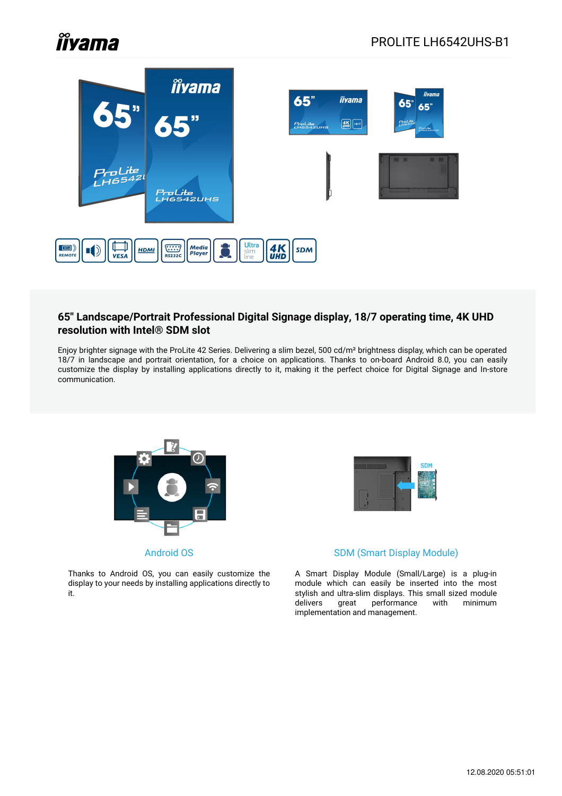# **Îlyama**



#### **65" Landscape/Portrait Professional Digital Signage display, 18/7 operating time, 4K UHD resolution with Intel® SDM slot**

Enjoy brighter signage with the ProLite 42 Series. Delivering a slim bezel, 500 cd/m² brightness display, which can be operated 18/7 in landscape and portrait orientation, for a choice on applications. Thanks to on-board Android 8.0, you can easily customize the display by installing applications directly to it, making it the perfect choice for Digital Signage and In-store communication.



Android OS

Thanks to Android OS, you can easily customize the display to your needs by installing applications directly to it.



#### SDM (Smart Display Module)

A Smart Display Module (Small/Large) is a plug-in module which can easily be inserted into the most stylish and ultra-slim displays. This small sized module delivers great performance with minimum implementation and management.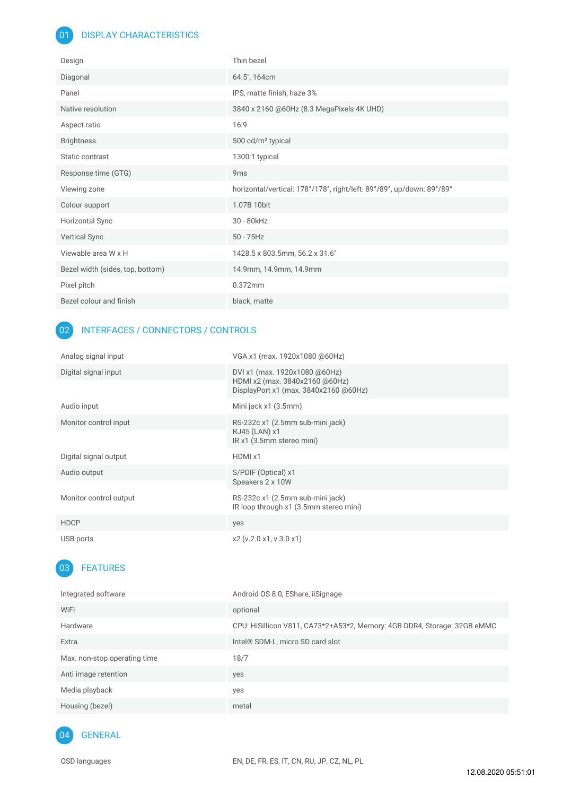#### 01 DISPLAY CHARACTERISTICS

| Design                           | Thin bezel                                                            |
|----------------------------------|-----------------------------------------------------------------------|
| Diagonal                         | 64.5", 164cm                                                          |
| Panel                            | IPS, matte finish, haze 3%                                            |
| Native resolution                | 3840 x 2160 @60Hz (8.3 MegaPixels 4K UHD)                             |
| Aspect ratio                     | 16:9                                                                  |
| <b>Brightness</b>                | 500 cd/m <sup>2</sup> typical                                         |
| Static contrast                  | 1300:1 typical                                                        |
| Response time (GTG)              | 9 <sub>ms</sub>                                                       |
| Viewing zone                     | horizontal/vertical: 178°/178°, right/left: 89°/89°, up/down: 89°/89° |
| Colour support                   | 1.07B 10bit                                                           |
| <b>Horizontal Sync</b>           | 30 - 80kHz                                                            |
| Vertical Sync                    | $50 - 75$ Hz                                                          |
| Viewable area W x H              | 1428.5 x 803.5mm, 56.2 x 31.6"                                        |
| Bezel width (sides, top, bottom) | 14.9mm, 14.9mm, 14.9mm                                                |
| Pixel pitch                      | 0.372mm                                                               |
| Bezel colour and finish          | black, matte                                                          |

#### 02 INTERFACES / CONNECTORS / CONTROLS

| Analog signal input    | VGA x1 (max. 1920x1080 @60Hz)                                                                            |
|------------------------|----------------------------------------------------------------------------------------------------------|
| Digital signal input   | DVI x1 (max. 1920x1080 @60Hz)<br>HDMI x2 (max. 3840x2160 @60Hz)<br>DisplayPort x1 (max. 3840x2160 @60Hz) |
| Audio input            | Mini jack x1 (3.5mm)                                                                                     |
| Monitor control input  | RS-232c x1 (2.5mm sub-mini jack)<br>RJ45 (LAN) x1<br>IR x1 (3.5mm stereo mini)                           |
| Digital signal output  | HDMI x1                                                                                                  |
| Audio output           | S/PDIF (Optical) x1<br>Speakers 2 x 10W                                                                  |
| Monitor control output | RS-232c x1 (2.5mm sub-mini jack)<br>IR loop through x1 (3.5mm stereo mini)                               |
| <b>HDCP</b>            | yes                                                                                                      |
| USB ports              | x2 (v.2.0 x1, v.3.0 x1)                                                                                  |

## 03 FEATURES

| Integrated software          | Android OS 8.0, EShare, iiSignage                                        |
|------------------------------|--------------------------------------------------------------------------|
| WiFi                         | optional                                                                 |
| Hardware                     | CPU: HiSillicon V811, CA73*2+A53*2, Memory: 4GB DDR4, Storage: 32GB eMMC |
| Extra                        | Intel <sup>®</sup> SDM-L, micro SD card slot                             |
| Max. non-stop operating time | 18/7                                                                     |
| Anti image retention         | yes                                                                      |
| Media playback               | yes                                                                      |
| Housing (bezel)              | metal                                                                    |
|                              |                                                                          |

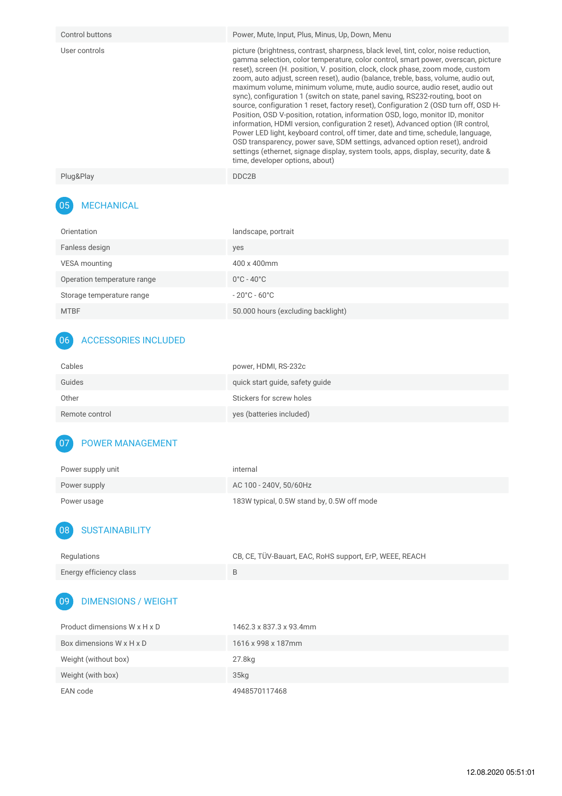| Control buttons | Power, Mute, Input, Plus, Minus, Up, Down, Menu                                                                                                                                                                                                                                                                                                                                                                                                                                                                                                                                                                                                                                                                                                                                                                                                                                                                                                                                                                                                                            |
|-----------------|----------------------------------------------------------------------------------------------------------------------------------------------------------------------------------------------------------------------------------------------------------------------------------------------------------------------------------------------------------------------------------------------------------------------------------------------------------------------------------------------------------------------------------------------------------------------------------------------------------------------------------------------------------------------------------------------------------------------------------------------------------------------------------------------------------------------------------------------------------------------------------------------------------------------------------------------------------------------------------------------------------------------------------------------------------------------------|
| User controls   | picture (brightness, contrast, sharpness, black level, tint, color, noise reduction,<br>gamma selection, color temperature, color control, smart power, overscan, picture<br>reset), screen (H. position, V. position, clock, clock phase, zoom mode, custom<br>zoom, auto adjust, screen reset), audio (balance, treble, bass, volume, audio out,<br>maximum volume, minimum volume, mute, audio source, audio reset, audio out<br>sync), configuration 1 (switch on state, panel saving, RS232-routing, boot on<br>source, configuration 1 reset, factory reset), Configuration 2 (OSD turn off, OSD H-<br>Position, OSD V-position, rotation, information OSD, logo, monitor ID, monitor<br>information, HDMI version, configuration 2 reset), Advanced option (IR control,<br>Power LED light, keyboard control, off timer, date and time, schedule, language,<br>OSD transparency, power save, SDM settings, advanced option reset), android<br>settings (ethernet, signage display, system tools, apps, display, security, date &<br>time, developer options, about) |
| Plug&Play       | DDC2B                                                                                                                                                                                                                                                                                                                                                                                                                                                                                                                                                                                                                                                                                                                                                                                                                                                                                                                                                                                                                                                                      |

## 05 MECHANICAL

| Orientation                 | landscape, portrait                |
|-----------------------------|------------------------------------|
| Fanless design              | yes                                |
| VESA mounting               | 400 x 400mm                        |
| Operation temperature range | $0^{\circ}$ C - 40 $^{\circ}$ C    |
| Storage temperature range   | $-20^{\circ}$ C - 60 $^{\circ}$ C  |
| <b>MTBF</b>                 | 50.000 hours (excluding backlight) |

## 06 ACCESSORIES INCLUDED

| Cables         | power, HDMI, RS-232c            |
|----------------|---------------------------------|
| Guides         | quick start guide, safety guide |
| Other          | Stickers for screw holes        |
| Remote control | yes (batteries included)        |

#### 07 POWER MANAGEMENT

| Power supply unit | internal                                   |
|-------------------|--------------------------------------------|
| Power supply      | AC 100 - 240V, 50/60Hz                     |
| Power usage       | 183W typical, 0.5W stand by, 0.5W off mode |

### 08 SUSTAINABILITY

| Regulations             | CB, CE, TÜV-Bauart, EAC, RoHS support, ErP, WEEE, REACH |
|-------------------------|---------------------------------------------------------|
| Energy efficiency class |                                                         |

## 09 DIMENSIONS / WEIGHT

| Product dimensions W x H x D | 1462.3 x 837.3 x 93.4mm |
|------------------------------|-------------------------|
| Box dimensions W x H x D     | 1616 x 998 x 187mm      |
| Weight (without box)         | 27.8kg                  |
| Weight (with box)            | 35 <sub>kq</sub>        |
| EAN code                     | 4948570117468           |